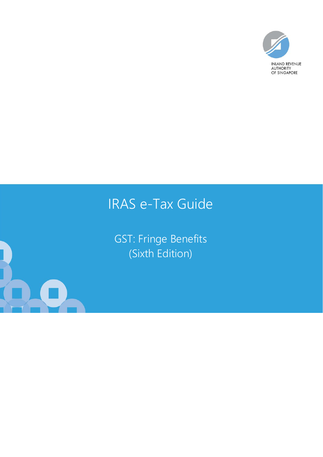

# IRAS e-Tax Guide

GST: Fringe Benefits (Sixth Edition)

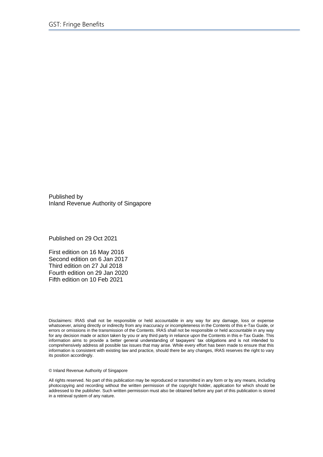Published by Inland Revenue Authority of Singapore

Published on 29 Oct 2021

First edition on 16 May 2016 Second edition on 6 Jan 2017 Third edition on 27 Jul 2018 Fourth edition on 29 Jan 2020 Fifth edition on 10 Feb 2021

Disclaimers: IRAS shall not be responsible or held accountable in any way for any damage, loss or expense whatsoever, arising directly or indirectly from any inaccuracy or incompleteness in the Contents of this e-Tax Guide, or errors or omissions in the transmission of the Contents. IRAS shall not be responsible or held accountable in any way for any decision made or action taken by you or any third party in reliance upon the Contents in this e-Tax Guide. This information aims to provide a better general understanding of taxpayers' tax obligations and is not intended to comprehensively address all possible tax issues that may arise. While every effort has been made to ensure that this information is consistent with existing law and practice, should there be any changes, IRAS reserves the right to vary its position accordingly.

© Inland Revenue Authority of Singapore

All rights reserved. No part of this publication may be reproduced or transmitted in any form or by any means, including photocopying and recording without the written permission of the copyright holder, application for which should be addressed to the publisher. Such written permission must also be obtained before any part of this publication is stored in a retrieval system of any nature.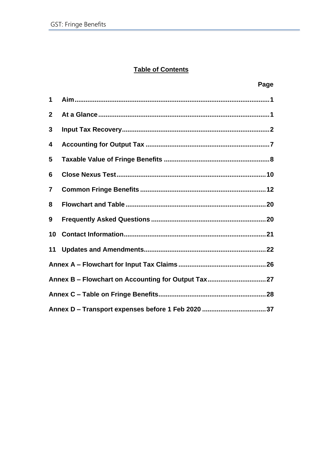# **Table of Contents**

|                         | Page                                                |  |
|-------------------------|-----------------------------------------------------|--|
| 1                       |                                                     |  |
| $\mathbf{2}$            |                                                     |  |
| 3                       |                                                     |  |
| $\overline{\mathbf{4}}$ |                                                     |  |
| 5                       |                                                     |  |
| 6                       |                                                     |  |
| $\overline{7}$          |                                                     |  |
| 8                       |                                                     |  |
| 9                       |                                                     |  |
| 10                      |                                                     |  |
| 11                      |                                                     |  |
|                         |                                                     |  |
|                         | Annex B - Flowchart on Accounting for Output Tax 27 |  |
|                         |                                                     |  |
|                         |                                                     |  |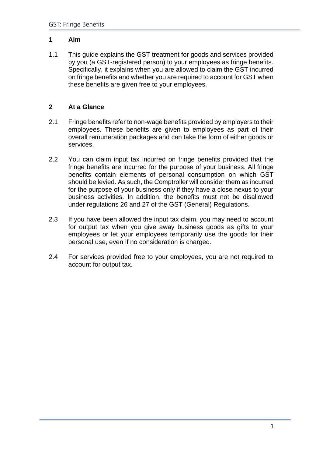# <span id="page-3-0"></span>**1 Aim**

1.1 This guide explains the GST treatment for goods and services provided by you (a GST-registered person) to your employees as fringe benefits. Specifically, it explains when you are allowed to claim the GST incurred on fringe benefits and whether you are required to account for GST when these benefits are given free to your employees.

# <span id="page-3-1"></span>**2 At a Glance**

- 2.1 Fringe benefits refer to non-wage benefits provided by employers to their employees. These benefits are given to employees as part of their overall remuneration packages and can take the form of either goods or services.
- 2.2 You can claim input tax incurred on fringe benefits provided that the fringe benefits are incurred for the purpose of your business. All fringe benefits contain elements of personal consumption on which GST should be levied. As such, the Comptroller will consider them as incurred for the purpose of your business only if they have a close nexus to your business activities. In addition, the benefits must not be disallowed under regulations 26 and 27 of the GST (General) Regulations.
- 2.3 If you have been allowed the input tax claim, you may need to account for output tax when you give away business goods as gifts to your employees or let your employees temporarily use the goods for their personal use, even if no consideration is charged.
- 2.4 For services provided free to your employees, you are not required to account for output tax.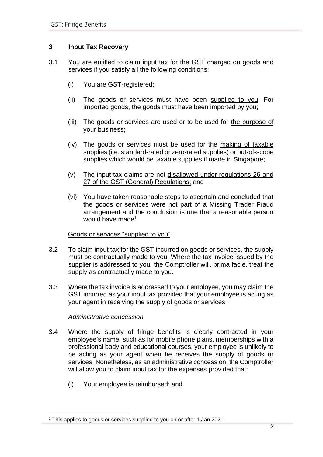# <span id="page-4-0"></span>**3 Input Tax Recovery**

- 3.1 You are entitled to claim input tax for the GST charged on goods and services if you satisfy all the following conditions:
	- (i) You are GST-registered;
	- (ii) The goods or services must have been supplied to you. For imported goods, the goods must have been imported by you;
	- (iii) The goods or services are used or to be used for the purpose of your business;
	- (iv) The goods or services must be used for the making of taxable supplies (i.e. standard-rated or zero-rated supplies) or out-of-scope supplies which would be taxable supplies if made in Singapore;
	- (v) The input tax claims are not disallowed under regulations 26 and 27 of the GST (General) Regulations; and
	- (vi) You have taken reasonable steps to ascertain and concluded that the goods or services were not part of a Missing Trader Fraud arrangement and the conclusion is one that a reasonable person would have made<sup>1</sup>.

#### Goods or services "supplied to you"

- 3.2 To claim input tax for the GST incurred on goods or services, the supply must be contractually made to you. Where the tax invoice issued by the supplier is addressed to you, the Comptroller will, prima facie, treat the supply as contractually made to you.
- 3.3 Where the tax invoice is addressed to your employee, you may claim the GST incurred as your input tax provided that your employee is acting as your agent in receiving the supply of goods or services.

#### *Administrative concession*

- 3.4 Where the supply of fringe benefits is clearly contracted in your employee's name, such as for mobile phone plans, memberships with a professional body and educational courses, your employee is unlikely to be acting as your agent when he receives the supply of goods or services. Nonetheless, as an administrative concession, the Comptroller will allow you to claim input tax for the expenses provided that:
	- (i) Your employee is reimbursed; and

<sup>1</sup> This applies to goods or services supplied to you on or after 1 Jan 2021.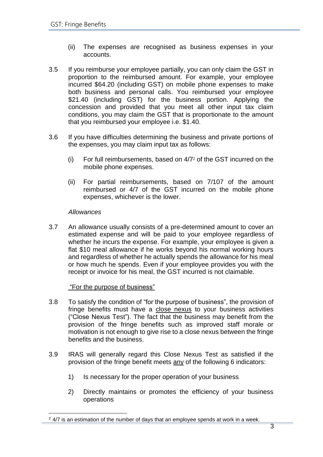- (ii) The expenses are recognised as business expenses in your accounts.
- 3.5 If you reimburse your employee partially, you can only claim the GST in proportion to the reimbursed amount. For example, your employee incurred \$64.20 (including GST) on mobile phone expenses to make both business and personal calls. You reimbursed your employee \$21.40 (including GST) for the business portion. Applying the concession and provided that you meet all other input tax claim conditions, you may claim the GST that is proportionate to the amount that you reimbursed your employee i.e. \$1.40.
- 3.6 If you have difficulties determining the business and private portions of the expenses, you may claim input tax as follows:
	- (i) For full reimbursements, based on 4/7<sup>2</sup> of the GST incurred on the mobile phone expenses.
	- (ii) For partial reimbursements, based on 7/107 of the amount reimbursed or 4/7 of the GST incurred on the mobile phone expenses, whichever is the lower.

# *Allowances*

3.7 An allowance usually consists of a pre-determined amount to cover an estimated expense and will be paid to your employee regardless of whether he incurs the expense. For example, your employee is given a flat \$10 meal allowance if he works beyond his normal working hours and regardless of whether he actually spends the allowance for his meal or how much he spends. Even if your employee provides you with the receipt or invoice for his meal, the GST incurred is not claimable.

# "For the purpose of business"

- 3.8 To satisfy the condition of "for the purpose of business", the provision of fringe benefits must have a close nexus to your business activities ("Close Nexus Test"). The fact that the business may benefit from the provision of the fringe benefits such as improved staff morale or motivation is not enough to give rise to a close nexus between the fringe benefits and the business.
- 3.9 IRAS will generally regard this Close Nexus Test as satisfied if the provision of the fringe benefit meets any of the following 6 indicators:
	- 1) Is necessary for the proper operation of your business
	- 2) Directly maintains or promotes the efficiency of your business operations

 $2$  4/7 is an estimation of the number of days that an employee spends at work in a week.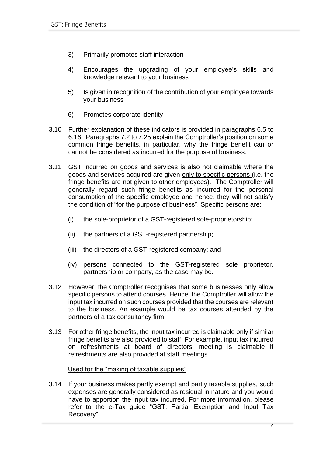- 3) Primarily promotes staff interaction
- 4) Encourages the upgrading of your employee's skills and knowledge relevant to your business
- 5) Is given in recognition of the contribution of your employee towards your business
- 6) Promotes corporate identity
- 3.10 Further explanation of these indicators is provided in paragraphs 6.5 to 6.16. Paragraphs 7.2 to 7.25 explain the Comptroller's position on some common fringe benefits, in particular, why the fringe benefit can or cannot be considered as incurred for the purpose of business.
- 3.11 GST incurred on goods and services is also not claimable where the goods and services acquired are given only to specific persons (i.e. the fringe benefits are not given to other employees). The Comptroller will generally regard such fringe benefits as incurred for the personal consumption of the specific employee and hence, they will not satisfy the condition of "for the purpose of business". Specific persons are:
	- (i) the sole-proprietor of a GST-registered sole-proprietorship;
	- (ii) the partners of a GST-registered partnership;
	- (iii) the directors of a GST-registered company; and
	- (iv) persons connected to the GST-registered sole proprietor, partnership or company, as the case may be.
- 3.12 However, the Comptroller recognises that some businesses only allow specific persons to attend courses. Hence, the Comptroller will allow the input tax incurred on such courses provided that the courses are relevant to the business. An example would be tax courses attended by the partners of a tax consultancy firm.
- 3.13 For other fringe benefits, the input tax incurred is claimable only if similar fringe benefits are also provided to staff. For example, input tax incurred on refreshments at board of directors' meeting is claimable if refreshments are also provided at staff meetings.

#### Used for the "making of taxable supplies"

3.14 If your business makes partly exempt and partly taxable supplies, such expenses are generally considered as residual in nature and you would have to apportion the input tax incurred. For more information, please refer to the e-Tax guide "GST: Partial Exemption and Input Tax Recovery".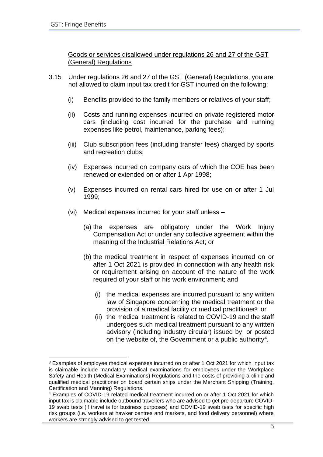Goods or services disallowed under regulations 26 and 27 of the GST (General) Regulations

- 3.15 Under regulations 26 and 27 of the GST (General) Regulations, you are not allowed to claim input tax credit for GST incurred on the following:
	- (i) Benefits provided to the family members or relatives of your staff;
	- (ii) Costs and running expenses incurred on private registered motor cars (including cost incurred for the purchase and running expenses like petrol, maintenance, parking fees);
	- (iii) Club subscription fees (including transfer fees) charged by sports and recreation clubs;
	- (iv) Expenses incurred on company cars of which the COE has been renewed or extended on or after 1 Apr 1998;
	- (v) Expenses incurred on rental cars hired for use on or after 1 Jul 1999;
	- (vi) Medical expenses incurred for your staff unless
		- (a) the expenses are obligatory under the Work Injury Compensation Act or under any collective agreement within the meaning of the Industrial Relations Act; or
		- (b) the medical treatment in respect of expenses incurred on or after 1 Oct 2021 is provided in connection with any health risk or requirement arising on account of the nature of the work required of your staff or his work environment; and
			- (i) the medical expenses are incurred pursuant to any written law of Singapore concerning the medical treatment or the provision of a medical facility or medical practitioner<sup>3</sup>; or
			- (ii) the medical treatment is related to COVID-19 and the staff undergoes such medical treatment pursuant to any written advisory (including industry circular) issued by, or posted on the website of, the Government or a public authority<sup>4</sup>.

<sup>&</sup>lt;sup>3</sup> Examples of employee medical expenses incurred on or after 1 Oct 2021 for which input tax is claimable include mandatory medical examinations for employees under the Workplace Safety and Health (Medical Examinations) Regulations and the costs of providing a clinic and qualified medical practitioner on board certain ships under the Merchant Shipping (Training, Certification and Manning) Regulations.

<sup>4</sup> Examples of COVID-19 related medical treatment incurred on or after 1 Oct 2021 for which input tax is claimable include outbound travellers who are advised to get pre-departure COVID-19 swab tests (if travel is for business purposes) and COVID-19 swab tests for specific high risk groups (i.e. workers at hawker centres and markets, and food delivery personnel) where workers are strongly advised to get tested.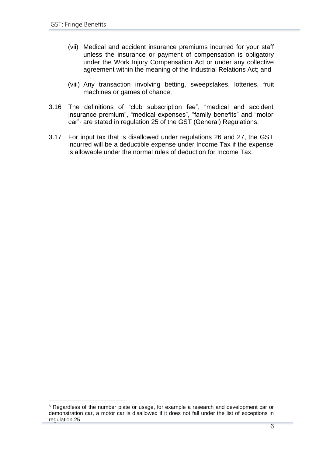- (vii) Medical and accident insurance premiums incurred for your staff unless the insurance or payment of compensation is obligatory under the Work Injury Compensation Act or under any collective agreement within the meaning of the Industrial Relations Act; and
- (viii) Any transaction involving betting, sweepstakes, lotteries, fruit machines or games of chance;
- 3.16 The definitions of "club subscription fee", "medical and accident insurance premium", "medical expenses", "family benefits" and "motor car"<sup>5</sup> are stated in regulation 25 of the GST (General) Regulations.
- 3.17 For input tax that is disallowed under regulations 26 and 27, the GST incurred will be a deductible expense under Income Tax if the expense is allowable under the normal rules of deduction for Income Tax.

<sup>5</sup> Regardless of the number plate or usage, for example a research and development car or demonstration car, a motor car is disallowed if it does not fall under the list of exceptions in regulation 25.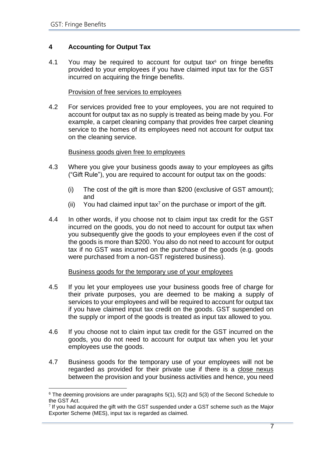# <span id="page-9-0"></span>**4 Accounting for Output Tax**

4.1 You may be required to account for output tax $6$  on fringe benefits provided to your employees if you have claimed input tax for the GST incurred on acquiring the fringe benefits.

# Provision of free services to employees

4.2 For services provided free to your employees, you are not required to account for output tax as no supply is treated as being made by you. For example, a carpet cleaning company that provides free carpet cleaning service to the homes of its employees need not account for output tax on the cleaning service.

# Business goods given free to employees

- 4.3 Where you give your business goods away to your employees as gifts ("Gift Rule"), you are required to account for output tax on the goods:
	- (i) The cost of the gift is more than \$200 (exclusive of GST amount); and
	- (ii) You had claimed input tax<sup>7</sup> on the purchase or import of the gift.
- 4.4 In other words, if you choose not to claim input tax credit for the GST incurred on the goods, you do not need to account for output tax when you subsequently give the goods to your employees even if the cost of the goods is more than \$200. You also do not need to account for output tax if no GST was incurred on the purchase of the goods (e.g. goods were purchased from a non-GST registered business).

# Business goods for the temporary use of your employees

- 4.5 If you let your employees use your business goods free of charge for their private purposes, you are deemed to be making a supply of services to your employees and will be required to account for output tax if you have claimed input tax credit on the goods. GST suspended on the supply or import of the goods is treated as input tax allowed to you.
- 4.6 If you choose not to claim input tax credit for the GST incurred on the goods, you do not need to account for output tax when you let your employees use the goods.
- 4.7 Business goods for the temporary use of your employees will not be regarded as provided for their private use if there is a close nexus between the provision and your business activities and hence, you need

 $6$  The deeming provisions are under paragraphs  $5(1)$ ,  $5(2)$  and  $5(3)$  of the Second Schedule to the GST Act.

<sup>7</sup> If you had acquired the gift with the GST suspended under a GST scheme such as the Major Exporter Scheme (MES), input tax is regarded as claimed.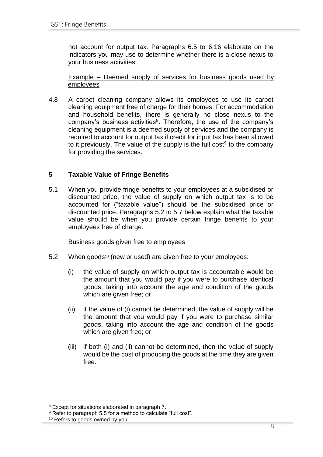not account for output tax. Paragraphs 6.5 to 6.16 elaborate on the indicators you may use to determine whether there is a close nexus to your business activities.

Example – Deemed supply of services for business goods used by employees

4.8 A carpet cleaning company allows its employees to use its carpet cleaning equipment free of charge for their homes. For accommodation and household benefits, there is generally no close nexus to the company's business activities<sup>8</sup>. Therefore, the use of the company's cleaning equipment is a deemed supply of services and the company is required to account for output tax if credit for input tax has been allowed to it previously. The value of the supply is the full cost<sup>9</sup> to the company for providing the services.

# <span id="page-10-0"></span>**5 Taxable Value of Fringe Benefits**

5.1 When you provide fringe benefits to your employees at a subsidised or discounted price, the value of supply on which output tax is to be accounted for ("taxable value") should be the subsidised price or discounted price. Paragraphs 5.2 to 5.7 below explain what the taxable value should be when you provide certain fringe benefits to your employees free of charge.

# Business goods given free to employees

- 5.2 When goods<sup>10</sup> (new or used) are given free to your employees:
	- (i) the value of supply on which output tax is accountable would be the amount that you would pay if you were to purchase identical goods, taking into account the age and condition of the goods which are given free; or
	- (ii) if the value of (i) cannot be determined, the value of supply will be the amount that you would pay if you were to purchase similar goods, taking into account the age and condition of the goods which are given free; or
	- (iii) if both (i) and (ii) cannot be determined, then the value of supply would be the cost of producing the goods at the time they are given free.

<sup>8</sup> Except for situations elaborated in paragraph 7.

<sup>&</sup>lt;sup>9</sup> Refer to paragraph 5.5 for a method to calculate "full cost".

<sup>&</sup>lt;sup>10</sup> Refers to goods owned by you.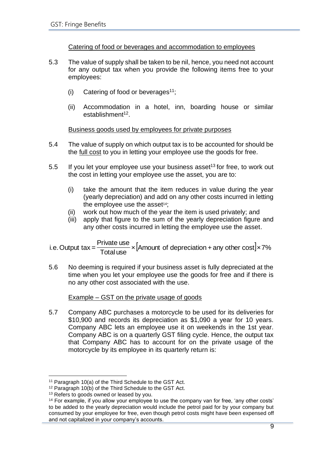# Catering of food or beverages and accommodation to employees

- 5.3 The value of supply shall be taken to be nil, hence, you need not account for any output tax when you provide the following items free to your employees:
	- (i) Catering of food or beverages<sup>11</sup>;
	- (ii) Accommodation in a hotel, inn, boarding house or similar establishment<sup>12</sup>.

# Business goods used by employees for private purposes

- 5.4 The value of supply on which output tax is to be accounted for should be the full cost to you in letting your employee use the goods for free.
- 5.5 If you let your employee use your business asset<sup>13</sup> for free, to work out the cost in letting your employee use the asset, you are to:
	- (i) take the amount that the item reduces in value during the year (yearly depreciation) and add on any other costs incurred in letting the employee use the asset $14$ ;
	- (ii) work out how much of the year the item is used privately; and
	- (iii) apply that figure to the sum of the yearly depreciation figure and any other costs incurred in letting the employee use the asset.

<sup>×</sup>[Amount of depreciation <sup>+</sup> any other cost]×7% Total use Private use i.e.Output tax =

5.6 No deeming is required if your business asset is fully depreciated at the time when you let your employee use the goods for free and if there is no any other cost associated with the use.

# Example – GST on the private usage of goods

5.7 Company ABC purchases a motorcycle to be used for its deliveries for \$10,900 and records its depreciation as \$1,090 a year for 10 years. Company ABC lets an employee use it on weekends in the 1st year. Company ABC is on a quarterly GST filing cycle. Hence, the output tax that Company ABC has to account for on the private usage of the motorcycle by its employee in its quarterly return is:

<sup>11</sup> Paragraph 10(a) of the Third Schedule to the GST Act.

<sup>12</sup> Paragraph 10(b) of the Third Schedule to the GST Act.

<sup>&</sup>lt;sup>13</sup> Refers to goods owned or leased by you.

<sup>&</sup>lt;sup>14</sup> For example, if you allow your employee to use the company van for free, 'any other costs' to be added to the yearly depreciation would include the petrol paid for by your company but consumed by your employee for free, even though petrol costs might have been expensed off and not capitalized in your company's accounts.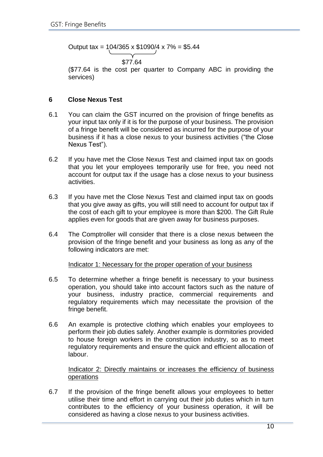Output tax =  $104/365 \times 1090/4 \times 7\% = $5.44$ 

\$77.64

(\$77.64 is the cost per quarter to Company ABC in providing the services)

# <span id="page-12-0"></span>**6 Close Nexus Test**

- 6.1 You can claim the GST incurred on the provision of fringe benefits as your input tax only if it is for the purpose of your business. The provision of a fringe benefit will be considered as incurred for the purpose of your business if it has a close nexus to your business activities ("the Close Nexus Test").
- 6.2 If you have met the Close Nexus Test and claimed input tax on goods that you let your employees temporarily use for free, you need not account for output tax if the usage has a close nexus to your business activities.
- 6.3 If you have met the Close Nexus Test and claimed input tax on goods that you give away as gifts, you will still need to account for output tax if the cost of each gift to your employee is more than \$200. The Gift Rule applies even for goods that are given away for business purposes.
- 6.4 The Comptroller will consider that there is a close nexus between the provision of the fringe benefit and your business as long as any of the following indicators are met:

Indicator 1: Necessary for the proper operation of your business

- 6.5 To determine whether a fringe benefit is necessary to your business operation, you should take into account factors such as the nature of your business, industry practice, commercial requirements and regulatory requirements which may necessitate the provision of the fringe benefit.
- 6.6 An example is protective clothing which enables your employees to perform their job duties safely. Another example is dormitories provided to house foreign workers in the construction industry, so as to meet regulatory requirements and ensure the quick and efficient allocation of labour.

Indicator 2: Directly maintains or increases the efficiency of business operations

6.7 If the provision of the fringe benefit allows your employees to better utilise their time and effort in carrying out their job duties which in turn contributes to the efficiency of your business operation, it will be considered as having a close nexus to your business activities.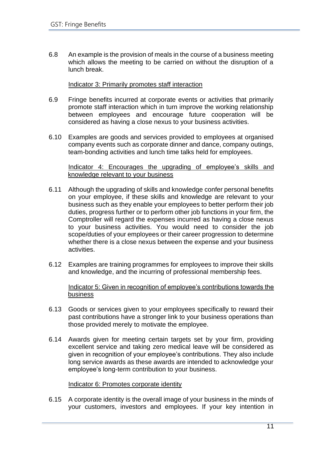6.8 An example is the provision of meals in the course of a business meeting which allows the meeting to be carried on without the disruption of a lunch break.

#### Indicator 3: Primarily promotes staff interaction

- 6.9 Fringe benefits incurred at corporate events or activities that primarily promote staff interaction which in turn improve the working relationship between employees and encourage future cooperation will be considered as having a close nexus to your business activities.
- 6.10 Examples are goods and services provided to employees at organised company events such as corporate dinner and dance, company outings, team-bonding activities and lunch time talks held for employees.

#### Indicator 4: Encourages the upgrading of employee's skills and knowledge relevant to your business

- 6.11 Although the upgrading of skills and knowledge confer personal benefits on your employee, if these skills and knowledge are relevant to your business such as they enable your employees to better perform their job duties, progress further or to perform other job functions in your firm, the Comptroller will regard the expenses incurred as having a close nexus to your business activities. You would need to consider the job scope/duties of your employees or their career progression to determine whether there is a close nexus between the expense and your business activities.
- 6.12 Examples are training programmes for employees to improve their skills and knowledge, and the incurring of professional membership fees.

# Indicator 5: Given in recognition of employee's contributions towards the business

- 6.13 Goods or services given to your employees specifically to reward their past contributions have a stronger link to your business operations than those provided merely to motivate the employee.
- 6.14 Awards given for meeting certain targets set by your firm, providing excellent service and taking zero medical leave will be considered as given in recognition of your employee's contributions. They also include long service awards as these awards are intended to acknowledge your employee's long-term contribution to your business.

#### Indicator 6: Promotes corporate identity

6.15 A corporate identity is the overall image of your business in the minds of your customers, investors and employees. If your key intention in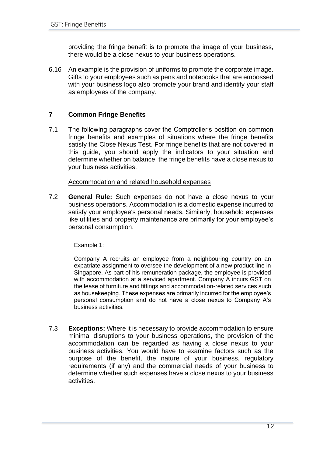providing the fringe benefit is to promote the image of your business, there would be a close nexus to your business operations.

6.16 An example is the provision of uniforms to promote the corporate image. Gifts to your employees such as pens and notebooks that are embossed with your business logo also promote your brand and identify your staff as employees of the company.

# <span id="page-14-0"></span>**7 Common Fringe Benefits**

7.1 The following paragraphs cover the Comptroller's position on common fringe benefits and examples of situations where the fringe benefits satisfy the Close Nexus Test. For fringe benefits that are not covered in this guide, you should apply the indicators to your situation and determine whether on balance, the fringe benefits have a close nexus to your business activities.

# Accommodation and related household expenses

7.2 **General Rule:** Such expenses do not have a close nexus to your business operations. Accommodation is a domestic expense incurred to satisfy your employee's personal needs. Similarly, household expenses like utilities and property maintenance are primarily for your employee's personal consumption.

Example 1:

Company A recruits an employee from a neighbouring country on an expatriate assignment to oversee the development of a new product line in Singapore. As part of his remuneration package, the employee is provided with accommodation at a serviced apartment. Company A incurs GST on the lease of furniture and fittings and accommodation-related services such as housekeeping. These expenses are primarily incurred for the employee's personal consumption and do not have a close nexus to Company A's business activities.

7.3 **Exceptions:** Where it is necessary to provide accommodation to ensure minimal disruptions to your business operations, the provision of the accommodation can be regarded as having a close nexus to your business activities. You would have to examine factors such as the purpose of the benefit, the nature of your business, regulatory requirements (if any) and the commercial needs of your business to determine whether such expenses have a close nexus to your business activities.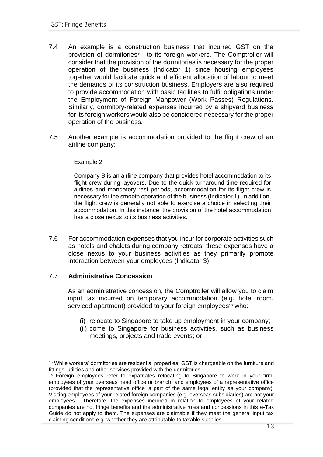- 7.4 An example is a construction business that incurred GST on the provision of dormitories<sup>15</sup> to its foreign workers. The Comptroller will consider that the provision of the dormitories is necessary for the proper operation of the business (Indicator 1) since housing employees together would facilitate quick and efficient allocation of labour to meet the demands of its construction business. Employers are also required to provide accommodation with basic facilities to fulfil obligations under the Employment of Foreign Manpower (Work Passes) Regulations. Similarly, dormitory-related expenses incurred by a shipyard business for its foreign workers would also be considered necessary for the proper operation of the business.
- 7.5 Another example is accommodation provided to the flight crew of an airline company:

# Example 2:

Company B is an airline company that provides hotel accommodation to its flight crew during layovers. Due to the quick turnaround time required for airlines and mandatory rest periods, accommodation for its flight crew is necessary for the smooth operation of the business (Indicator 1). In addition, the flight crew is generally not able to exercise a choice in selecting their accommodation. In this instance, the provision of the hotel accommodation has a close nexus to its business activities.

7.6 For accommodation expenses that you incur for corporate activities such as hotels and chalets during company retreats, these expenses have a close nexus to your business activities as they primarily promote interaction between your employees (Indicator 3).

# 7.7 **Administrative Concession**

As an administrative concession, the Comptroller will allow you to claim input tax incurred on temporary accommodation (e.g. hotel room, serviced apartment) provided to your foreign employees<sup>16</sup> who:

- (i) relocate to Singapore to take up employment in your company;
- (ii) come to Singapore for business activities, such as business meetings, projects and trade events; or

<sup>&</sup>lt;sup>15</sup> While workers' dormitories are residential properties, GST is chargeable on the furniture and fittings, utilities and other services provided with the dormitories.

<sup>&</sup>lt;sup>16</sup> Foreign employees refer to expatriates relocating to Singapore to work in your firm, employees of your overseas head office or branch, and employees of a representative office (provided that the representative office is part of the same legal entity as your company). Visiting employees of your related foreign companies (e.g. overseas subsidiaries) are not your employees. Therefore, the expenses incurred in relation to employees of your related companies are not fringe benefits and the administrative rules and concessions in this e-Tax Guide do not apply to them. The expenses are claimable if they meet the general input tax claiming conditions e.g. whether they are attributable to taxable supplies.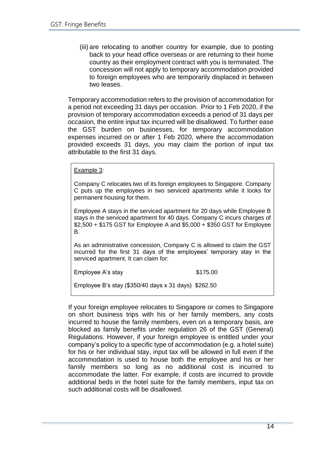(iii) are relocating to another country for example, due to posting back to your head office overseas or are returning to their home country as their employment contract with you is terminated. The concession will not apply to temporary accommodation provided to foreign employees who are temporarily displaced in between two leases.

Temporary accommodation refers to the provision of accommodation for a period not exceeding 31 days per occasion. Prior to 1 Feb 2020, if the provision of temporary accommodation exceeds a period of 31 days per occasion, the entire input tax incurred will be disallowed. To further ease the GST burden on businesses, for temporary accommodation expenses incurred on or after 1 Feb 2020, where the accommodation provided exceeds 31 days, you may claim the portion of input tax attributable to the first 31 days.

#### Example 3:

Company C relocates two of its foreign employees to Singapore. Company C puts up the employees in two serviced apartments while it looks for permanent housing for them.

Employee A stays in the serviced apartment for 20 days while Employee B stays in the serviced apartment for 40 days. Company C incurs charges of \$2,500 + \$175 GST for Employee A and \$5,000 + \$350 GST for Employee B.

As an administrative concession, Company C is allowed to claim the GST incurred for the first 31 days of the employees' temporary stay in the serviced apartment. It can claim for:

Employee A's stay \$175.00

Employee B's stay (\$350/40 days x 31 days) \$262.50

If your foreign employee relocates to Singapore or comes to Singapore on short business trips with his or her family members, any costs incurred to house the family members, even on a temporary basis, are blocked as family benefits under regulation 26 of the GST (General) Regulations. However, if your foreign employee is entitled under your company's policy to a specific type of accommodation (e.g. a hotel suite) for his or her individual stay, input tax will be allowed in full even if the accommodation is used to house both the employee and his or her family members so long as no additional cost is incurred to accommodate the latter. For example, if costs are incurred to provide additional beds in the hotel suite for the family members, input tax on such additional costs will be disallowed.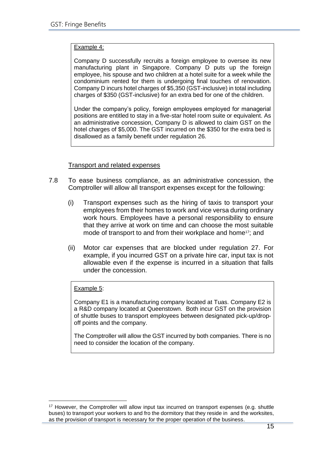#### Example 4:

Company D successfully recruits a foreign employee to oversee its new manufacturing plant in Singapore. Company D puts up the foreign employee, his spouse and two children at a hotel suite for a week while the condominium rented for them is undergoing final touches of renovation. Company D incurs hotel charges of \$5,350 (GST-inclusive) in total including charges of \$350 (GST-inclusive) for an extra bed for one of the children.

Under the company's policy, foreign employees employed for managerial positions are entitled to stay in a five-star hotel room suite or equivalent. As an administrative concession, Company D is allowed to claim GST on the hotel charges of \$5,000. The GST incurred on the \$350 for the extra bed is disallowed as a family benefit under regulation 26.

#### Transport and related expenses

- 7.8 To ease business compliance, as an administrative concession, the Comptroller will allow all transport expenses except for the following:
	- (i) Transport expenses such as the hiring of taxis to transport your employees from their homes to work and vice versa during ordinary work hours. Employees have a personal responsibility to ensure that they arrive at work on time and can choose the most suitable mode of transport to and from their workplace and home<sup>17</sup>; and
	- (ii) Motor car expenses that are blocked under regulation 27. For example, if you incurred GST on a private hire car, input tax is not allowable even if the expense is incurred in a situation that falls under the concession.

#### Example 5:

Company E1 is a manufacturing company located at Tuas. Company E2 is a R&D company located at Queenstown. Both incur GST on the provision of shuttle buses to transport employees between designated pick-up/dropoff points and the company.

The Comptroller will allow the GST incurred by both companies. There is no need to consider the location of the company.

<sup>&</sup>lt;sup>17</sup> However, the Comptroller will allow input tax incurred on transport expenses (e.g. shuttle buses) to transport your workers to and fro the dormitory that they reside in and the worksites, as the provision of transport is necessary for the proper operation of the business.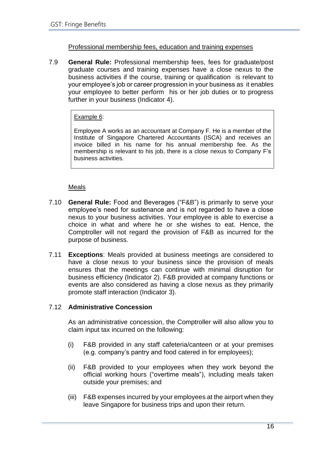# Professional membership fees, education and training expenses

7.9 **General Rule:** Professional membership fees, fees for graduate/post graduate courses and training expenses have a close nexus to the business activities if the course, training or qualification is relevant to your employee's job or career progression in your business as it enables your employee to better perform his or her job duties or to progress further in your business (Indicator 4).

# Example 6:

Employee A works as an accountant at Company F. He is a member of the Institute of Singapore Chartered Accountants (ISCA) and receives an invoice billed in his name for his annual membership fee. As the membership is relevant to his job, there is a close nexus to Company F's business activities.

# Meals

- 7.10 **General Rule:** Food and Beverages ("F&B") is primarily to serve your employee's need for sustenance and is not regarded to have a close nexus to your business activities. Your employee is able to exercise a choice in what and where he or she wishes to eat. Hence, the Comptroller will not regard the provision of F&B as incurred for the purpose of business.
- 7.11 **Exceptions**: Meals provided at business meetings are considered to have a close nexus to your business since the provision of meals ensures that the meetings can continue with minimal disruption for business efficiency (Indicator 2). F&B provided at company functions or events are also considered as having a close nexus as they primarily promote staff interaction (Indicator 3).

# 7.12 **Administrative Concession**

As an administrative concession, the Comptroller will also allow you to claim input tax incurred on the following:

- (i) F&B provided in any staff cafeteria/canteen or at your premises (e.g. company's pantry and food catered in for employees);
- (ii) F&B provided to your employees when they work beyond the official working hours ("overtime meals"), including meals taken outside your premises; and
- (iii) F&B expenses incurred by your employees at the airport when they leave Singapore for business trips and upon their return.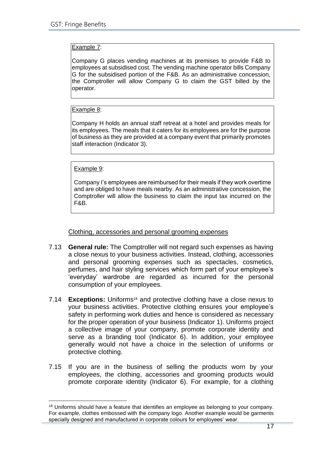#### Example 7:

Company G places vending machines at its premises to provide F&B to employees at subsidised cost. The vending machine operator bills Company G for the subsidised portion of the F&B. As an administrative concession, the Comptroller will allow Company G to claim the GST billed by the operator.

# Example 8:

Company H holds an annual staff retreat at a hotel and provides meals for its employees. The meals that it caters for its employees are for the purpose of business as they are provided at a company event that primarily promotes staff interaction (Indicator 3).

Example 9:

Company I's employees are reimbursed for their meals if they work overtime and are obliged to have meals nearby. As an administrative concession, the Comptroller will allow the business to claim the input tax incurred on the F&B.

Clothing, accessories and personal grooming expenses

- 7.13 **General rule:** The Comptroller will not regard such expenses as having a close nexus to your business activities. Instead, clothing, accessories and personal grooming expenses such as spectacles, cosmetics, perfumes, and hair styling services which form part of your employee's 'everyday' wardrobe are regarded as incurred for the personal consumption of your employees.
- 7.14 **Exceptions:** Uniforms<sup>18</sup> and protective clothing have a close nexus to your business activities. Protective clothing ensures your employee's safety in performing work duties and hence is considered as necessary for the proper operation of your business (Indicator 1). Uniforms project a collective image of your company, promote corporate identity and serve as a [branding](https://en.wikipedia.org/wiki/Brand) tool (Indicator 6). In addition, your employee generally would not have a choice in the selection of uniforms or protective clothing.
- 7.15 If you are in the business of selling the products worn by your employees, the clothing, accessories and grooming products would promote corporate identity (Indicator 6). For example, for a clothing

<sup>&</sup>lt;sup>18</sup> Uniforms should have a feature that identifies an employee as belonging to your company. For example, clothes embossed with the company logo. Another example would be garments specially designed and manufactured in corporate colours for employees' wear.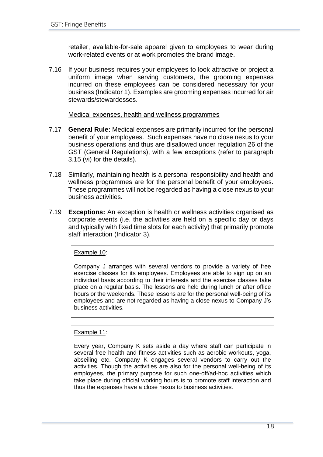retailer, available-for-sale apparel given to employees to wear during work-related events or at work promotes the brand image.

7.16 If your business requires your employees to look attractive or project a uniform image when serving customers, the grooming expenses incurred on these employees can be considered necessary for your business (Indicator 1). Examples are grooming expenses incurred for air stewards/stewardesses.

#### Medical expenses, health and wellness programmes

- 7.17 **General Rule:** Medical expenses are primarily incurred for the personal benefit of your employees. Such expenses have no close nexus to your business operations and thus are disallowed under regulation 26 of the GST (General Regulations), with a few exceptions (refer to paragraph 3.15 (vi) for the details).
- 7.18 Similarly, maintaining health is a personal responsibility and health and wellness programmes are for the personal benefit of your employees. These programmes will not be regarded as having a close nexus to your business activities.
- 7.19 **Exceptions:** An exception is health or wellness activities organised as corporate events (i.e. the activities are held on a specific day or days and typically with fixed time slots for each activity) that primarily promote staff interaction (Indicator 3).

#### Example 10:

Company J arranges with several vendors to provide a variety of free exercise classes for its employees. Employees are able to sign up on an individual basis according to their interests and the exercise classes take place on a regular basis. The lessons are held during lunch or after office hours or the weekends. These lessons are for the personal well-being of its employees and are not regarded as having a close nexus to Company J's business activities.

#### Example 11:

Every year, Company K sets aside a day where staff can participate in several free health and fitness activities such as aerobic workouts, yoga, abseiling etc. Company K engages several vendors to carry out the activities. Though the activities are also for the personal well-being of its employees, the primary purpose for such one-off/ad-hoc activities which take place during official working hours is to promote staff interaction and thus the expenses have a close nexus to business activities.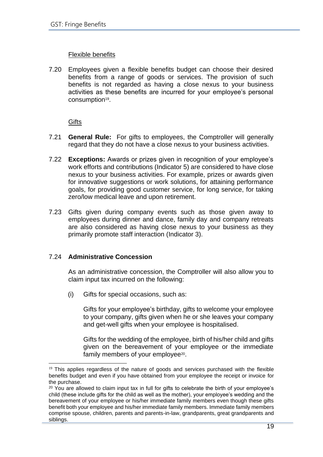# Flexible benefits

7.20 Employees given a flexible benefits budget can choose their desired benefits from a range of goods or services. The provision of such benefits is not regarded as having a close nexus to your business activities as these benefits are incurred for your employee's personal consumption<sup>19</sup>.

**Gifts** 

- 7.21 **General Rule:** For gifts to employees, the Comptroller will generally regard that they do not have a close nexus to your business activities.
- 7.22 **Exceptions:** Awards or prizes given in recognition of your employee's work efforts and contributions (Indicator 5) are considered to have close nexus to your business activities. For example, prizes or awards given for innovative suggestions or work solutions, for attaining performance goals, for providing good customer service, for long service, for taking zero/low medical leave and upon retirement.
- 7.23 Gifts given during company events such as those given away to employees during dinner and dance, family day and company retreats are also considered as having close nexus to your business as they primarily promote staff interaction (Indicator 3).

# 7.24 **Administrative Concession**

As an administrative concession, the Comptroller will also allow you to claim input tax incurred on the following:

(i) Gifts for special occasions, such as:

Gifts for your employee's birthday, gifts to welcome your employee to your company, gifts given when he or she leaves your company and get-well gifts when your employee is hospitalised.

Gifts for the wedding of the employee, birth of his/her child and gifts given on the bereavement of your employee or the immediate family members of your employee<sup>20</sup>.

<sup>&</sup>lt;sup>19</sup> This applies regardless of the nature of goods and services purchased with the flexible benefits budget and even if you have obtained from your employee the receipt or invoice for the purchase.

<sup>&</sup>lt;sup>20</sup> You are allowed to claim input tax in full for gifts to celebrate the birth of your employee's child (these include gifts for the child as well as the mother), your employee's wedding and the bereavement of your employee or his/her immediate family members even though these gifts benefit both your employee and his/her immediate family members. Immediate family members comprise spouse, children, parents and parents-in-law, grandparents, great grandparents and siblings.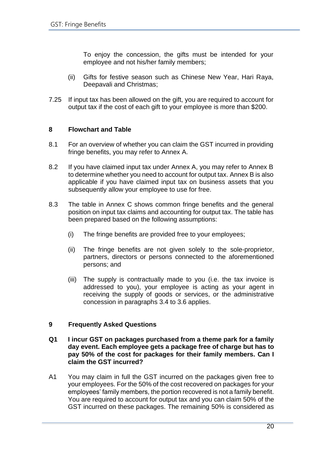To enjoy the concession, the gifts must be intended for your employee and not his/her family members;

- (ii) Gifts for festive season such as Chinese New Year, Hari Raya, Deepavali and Christmas;
- 7.25 If input tax has been allowed on the gift, you are required to account for output tax if the cost of each gift to your employee is more than \$200.

# <span id="page-22-0"></span>**8 Flowchart and Table**

- 8.1 For an overview of whether you can claim the GST incurred in providing fringe benefits, you may refer to Annex A.
- 8.2 If you have claimed input tax under Annex A, you may refer to Annex B to determine whether you need to account for output tax. Annex B is also applicable if you have claimed input tax on business assets that you subsequently allow your employee to use for free.
- 8.3 The table in Annex C shows common fringe benefits and the general position on input tax claims and accounting for output tax. The table has been prepared based on the following assumptions:
	- (i) The fringe benefits are provided free to your employees;
	- (ii) The fringe benefits are not given solely to the sole-proprietor, partners, directors or persons connected to the aforementioned persons; and
	- (iii) The supply is contractually made to you (i.e. the tax invoice is addressed to you), your employee is acting as your agent in receiving the supply of goods or services, or the administrative concession in paragraphs 3.4 to 3.6 applies.

# <span id="page-22-1"></span>**9 Frequently Asked Questions**

- **Q1 I incur GST on packages purchased from a theme park for a family day event. Each employee gets a package free of charge but has to pay 50% of the cost for packages for their family members. Can I claim the GST incurred?**
- A1 You may claim in full the GST incurred on the packages given free to your employees. For the 50% of the cost recovered on packages for your employees' family members, the portion recovered is not a family benefit. You are required to account for output tax and you can claim 50% of the GST incurred on these packages. The remaining 50% is considered as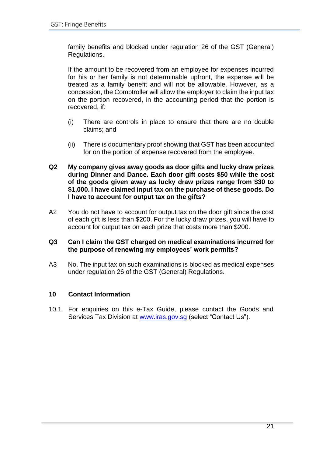family benefits and blocked under regulation 26 of the GST (General) Regulations.

If the amount to be recovered from an employee for expenses incurred for his or her family is not determinable upfront, the expense will be treated as a family benefit and will not be allowable. However, as a concession, the Comptroller will allow the employer to claim the input tax on the portion recovered, in the accounting period that the portion is recovered, if:

- (i) There are controls in place to ensure that there are no double claims; and
- (ii) There is documentary proof showing that GST has been accounted for on the portion of expense recovered from the employee.
- **Q2 My company gives away goods as door gifts and lucky draw prizes during Dinner and Dance. Each door gift costs \$50 while the cost of the goods given away as lucky draw prizes range from \$30 to \$1,000. I have claimed input tax on the purchase of these goods. Do I have to account for output tax on the gifts?**
- A2 You do not have to account for output tax on the door gift since the cost of each gift is less than \$200. For the lucky draw prizes, you will have to account for output tax on each prize that costs more than \$200.

#### **Q3 Can I claim the GST charged on medical examinations incurred for the purpose of renewing my employees' work permits?**

A3 No. The input tax on such examinations is blocked as medical expenses under regulation 26 of the GST (General) Regulations.

# <span id="page-23-0"></span>**10 Contact Information**

10.1 For enquiries on this e-Tax Guide, please contact the Goods and Services Tax Division at [www.iras.gov.sg](http://www.iras.gov.sg/) (select "Contact Us").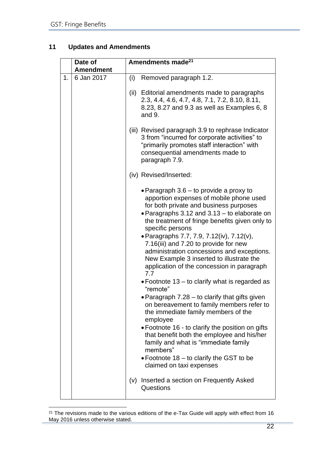# <span id="page-24-0"></span>**11 Updates and Amendments**

| 6 Jan 2017 | (i)  |                                                                                                                                                                                                                                                                                                                                                                                                                                                                                                                                                                                                                                                                                                                                                                                                                                                                                                                                                                                                  |
|------------|------|--------------------------------------------------------------------------------------------------------------------------------------------------------------------------------------------------------------------------------------------------------------------------------------------------------------------------------------------------------------------------------------------------------------------------------------------------------------------------------------------------------------------------------------------------------------------------------------------------------------------------------------------------------------------------------------------------------------------------------------------------------------------------------------------------------------------------------------------------------------------------------------------------------------------------------------------------------------------------------------------------|
|            |      | Removed paragraph 1.2.                                                                                                                                                                                                                                                                                                                                                                                                                                                                                                                                                                                                                                                                                                                                                                                                                                                                                                                                                                           |
|            | (ii) | Editorial amendments made to paragraphs<br>2.3, 4.4, 4.6, 4.7, 4.8, 7.1, 7.2, 8.10, 8.11,<br>8.23, 8.27 and 9.3 as well as Examples 6, 8<br>and 9.                                                                                                                                                                                                                                                                                                                                                                                                                                                                                                                                                                                                                                                                                                                                                                                                                                               |
|            |      | (iii) Revised paragraph 3.9 to rephrase Indicator<br>3 from "incurred for corporate activities" to<br>"primarily promotes staff interaction" with<br>consequential amendments made to<br>paragraph 7.9.                                                                                                                                                                                                                                                                                                                                                                                                                                                                                                                                                                                                                                                                                                                                                                                          |
|            |      | (iv) Revised/Inserted:                                                                                                                                                                                                                                                                                                                                                                                                                                                                                                                                                                                                                                                                                                                                                                                                                                                                                                                                                                           |
|            | (v)  | • Paragraph $3.6 -$ to provide a proxy to<br>apportion expenses of mobile phone used<br>for both private and business purposes<br>• Paragraphs 3.12 and 3.13 - to elaborate on<br>the treatment of fringe benefits given only to<br>specific persons<br>• Paragraphs 7.7, 7.9, 7.12(iv), 7.12(v),<br>7.16(iii) and 7.20 to provide for new<br>administration concessions and exceptions.<br>New Example 3 inserted to illustrate the<br>application of the concession in paragraph<br>7.7<br>• Footnote 13 – to clarify what is regarded as<br>"remote"<br>• Paragraph 7.28 - to clarify that gifts given<br>on bereavement to family members refer to<br>the immediate family members of the<br>employee<br>• Footnote 16 - to clarify the position on gifts<br>that benefit both the employee and his/her<br>family and what is "immediate family<br>members"<br>• Footnote 18 $-$ to clarify the GST to be<br>claimed on taxi expenses<br>Inserted a section on Frequently Asked<br>Questions |
|            |      |                                                                                                                                                                                                                                                                                                                                                                                                                                                                                                                                                                                                                                                                                                                                                                                                                                                                                                                                                                                                  |

<sup>&</sup>lt;sup>21</sup> The revisions made to the various editions of the e-Tax Guide will apply with effect from 16 May 2016 unless otherwise stated.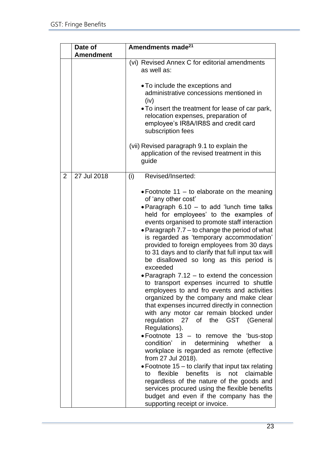|                | Date of<br><b>Amendment</b> | Amendments made <sup>21</sup>                                                                                                                                                                                                                                                                                                                                                                                                                                                                                                                                                                                                                                                                                                                                                                                                                                                                                                                                                                                                                                                                                                                                                                                                                                       |  |
|----------------|-----------------------------|---------------------------------------------------------------------------------------------------------------------------------------------------------------------------------------------------------------------------------------------------------------------------------------------------------------------------------------------------------------------------------------------------------------------------------------------------------------------------------------------------------------------------------------------------------------------------------------------------------------------------------------------------------------------------------------------------------------------------------------------------------------------------------------------------------------------------------------------------------------------------------------------------------------------------------------------------------------------------------------------------------------------------------------------------------------------------------------------------------------------------------------------------------------------------------------------------------------------------------------------------------------------|--|
|                |                             | (vi) Revised Annex C for editorial amendments<br>as well as:                                                                                                                                                                                                                                                                                                                                                                                                                                                                                                                                                                                                                                                                                                                                                                                                                                                                                                                                                                                                                                                                                                                                                                                                        |  |
|                |                             | • To include the exceptions and<br>administrative concessions mentioned in<br>(iv)<br>• To insert the treatment for lease of car park,<br>relocation expenses, preparation of<br>employee's IR8A/IR8S and credit card<br>subscription fees                                                                                                                                                                                                                                                                                                                                                                                                                                                                                                                                                                                                                                                                                                                                                                                                                                                                                                                                                                                                                          |  |
|                |                             | (vii) Revised paragraph 9.1 to explain the<br>application of the revised treatment in this<br>guide                                                                                                                                                                                                                                                                                                                                                                                                                                                                                                                                                                                                                                                                                                                                                                                                                                                                                                                                                                                                                                                                                                                                                                 |  |
| $\overline{2}$ | 27 Jul 2018                 | Revised/Inserted:<br>(i)                                                                                                                                                                                                                                                                                                                                                                                                                                                                                                                                                                                                                                                                                                                                                                                                                                                                                                                                                                                                                                                                                                                                                                                                                                            |  |
|                |                             | • Footnote 11 – to elaborate on the meaning<br>of 'any other cost'<br>• Paragraph 6.10 – to add 'lunch time talks<br>held for employees' to the examples of<br>events organised to promote staff interaction<br>• Paragraph 7.7 – to change the period of what<br>is regarded as 'temporary accommodation'<br>provided to foreign employees from 30 days<br>to 31 days and to clarify that full input tax will<br>be disallowed so long as this period is<br>exceeded<br>• Paragraph 7.12 – to extend the concession<br>to transport expenses incurred to shuttle<br>employees to and fro events and activities<br>organized by the company and make clear<br>that expenses incurred directly in connection<br>with any motor car remain blocked under<br>the GST (General<br>regulation<br>27 of<br>Regulations).<br>• Footnote $13 -$ to remove the 'bus-stop<br>condition' in<br>determining<br>whether<br>a a<br>workplace is regarded as remote (effective<br>from 27 Jul 2018).<br>• Footnote 15 $-$ to clarify that input tax relating<br>flexible benefits is not claimable<br>to<br>regardless of the nature of the goods and<br>services procured using the flexible benefits<br>budget and even if the company has the<br>supporting receipt or invoice. |  |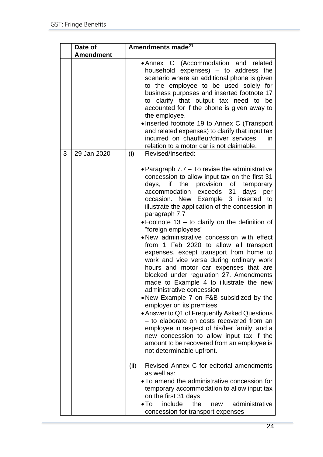|   | Date of<br><b>Amendment</b> | Amendments made <sup>21</sup>                                                                                                                                                                                                                                                                                                                                                                                                                                                                                                                                                                                                                                                                                                                                                                                                                                                                                                                                                                                                                            |  |
|---|-----------------------------|----------------------------------------------------------------------------------------------------------------------------------------------------------------------------------------------------------------------------------------------------------------------------------------------------------------------------------------------------------------------------------------------------------------------------------------------------------------------------------------------------------------------------------------------------------------------------------------------------------------------------------------------------------------------------------------------------------------------------------------------------------------------------------------------------------------------------------------------------------------------------------------------------------------------------------------------------------------------------------------------------------------------------------------------------------|--|
|   |                             | • Annex C (Accommodation and related<br>household expenses) - to address the<br>scenario where an additional phone is given<br>to the employee to be used solely for<br>business purposes and inserted footnote 17<br>to clarify that output tax need to be<br>accounted for if the phone is given away to<br>the employee.<br>• Inserted footnote 19 to Annex C (Transport<br>and related expenses) to clarify that input tax<br>incurred on chauffeur/driver services<br>in<br>relation to a motor car is not claimable.                                                                                                                                                                                                                                                                                                                                                                                                                                                                                                                               |  |
| 3 | 29 Jan 2020                 | (i)<br>Revised/Inserted:                                                                                                                                                                                                                                                                                                                                                                                                                                                                                                                                                                                                                                                                                                                                                                                                                                                                                                                                                                                                                                 |  |
|   |                             | • Paragraph 7.7 - To revise the administrative<br>concession to allow input tax on the first 31<br>days, if the provision of temporary<br>accommodation exceeds 31 days per<br>occasion. New Example 3 inserted to<br>illustrate the application of the concession in<br>paragraph 7.7<br>. Footnote 13 - to clarify on the definition of<br>"foreign employees"<br>• New administrative concession with effect<br>from 1 Feb 2020 to allow all transport<br>expenses, except transport from home to<br>work and vice versa during ordinary work<br>hours and motor car expenses that are<br>blocked under regulation 27. Amendments<br>made to Example 4 to illustrate the new<br>administrative concession<br>. New Example 7 on F&B subsidized by the<br>employer on its premises<br>• Answer to Q1 of Frequently Asked Questions<br>- to elaborate on costs recovered from an<br>employee in respect of his/her family, and a<br>new concession to allow input tax if the<br>amount to be recovered from an employee is<br>not determinable upfront. |  |
|   |                             | Revised Annex C for editorial amendments<br>(ii)<br>as well as:<br>• To amend the administrative concession for<br>temporary accommodation to allow input tax<br>on the first 31 days<br>include<br>$\bullet$ To<br>administrative<br>the<br>new<br>concession for transport expenses                                                                                                                                                                                                                                                                                                                                                                                                                                                                                                                                                                                                                                                                                                                                                                    |  |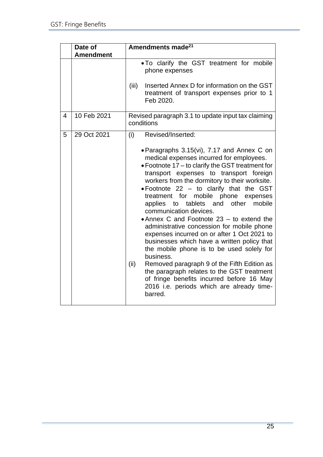|   | Date of          | Amendments made <sup>21</sup>                                                                                                                                                                                                                                                                                                                                                                                                                                                                                                                                                                                                                                                                                                                                                                                                                                   |  |  |
|---|------------------|-----------------------------------------------------------------------------------------------------------------------------------------------------------------------------------------------------------------------------------------------------------------------------------------------------------------------------------------------------------------------------------------------------------------------------------------------------------------------------------------------------------------------------------------------------------------------------------------------------------------------------------------------------------------------------------------------------------------------------------------------------------------------------------------------------------------------------------------------------------------|--|--|
|   | <b>Amendment</b> |                                                                                                                                                                                                                                                                                                                                                                                                                                                                                                                                                                                                                                                                                                                                                                                                                                                                 |  |  |
|   |                  | . To clarify the GST treatment for mobile<br>phone expenses                                                                                                                                                                                                                                                                                                                                                                                                                                                                                                                                                                                                                                                                                                                                                                                                     |  |  |
|   |                  | Inserted Annex D for information on the GST<br>(iii)<br>treatment of transport expenses prior to 1<br>Feb 2020.                                                                                                                                                                                                                                                                                                                                                                                                                                                                                                                                                                                                                                                                                                                                                 |  |  |
| 4 | 10 Feb 2021      | Revised paragraph 3.1 to update input tax claiming<br>conditions                                                                                                                                                                                                                                                                                                                                                                                                                                                                                                                                                                                                                                                                                                                                                                                                |  |  |
| 5 | 29 Oct 2021      | Revised/Inserted:<br>(i)                                                                                                                                                                                                                                                                                                                                                                                                                                                                                                                                                                                                                                                                                                                                                                                                                                        |  |  |
|   |                  | • Paragraphs 3.15(vi), 7.17 and Annex C on<br>medical expenses incurred for employees.<br>• Footnote 17 - to clarify the GST treatment for<br>transport expenses to transport foreign<br>workers from the dormitory to their worksite.<br>. Footnote 22 - to clarify that the GST<br>treatment for mobile phone expenses<br>and<br>other<br>mobile<br>applies to tablets<br>communication devices.<br>• Annex C and Footnote 23 - to extend the<br>administrative concession for mobile phone<br>expenses incurred on or after 1 Oct 2021 to<br>businesses which have a written policy that<br>the mobile phone is to be used solely for<br>business.<br>(ii)<br>Removed paragraph 9 of the Fifth Edition as<br>the paragraph relates to the GST treatment<br>of fringe benefits incurred before 16 May<br>2016 i.e. periods which are already time-<br>barred. |  |  |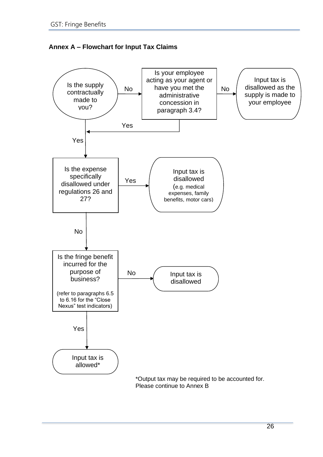<span id="page-28-0"></span>

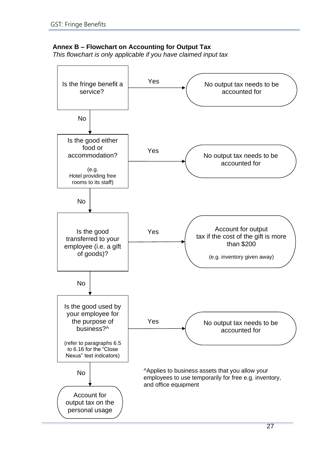# <span id="page-29-0"></span>**Annex B – Flowchart on Accounting for Output Tax**

*This flowchart is only applicable if you have claimed input tax*

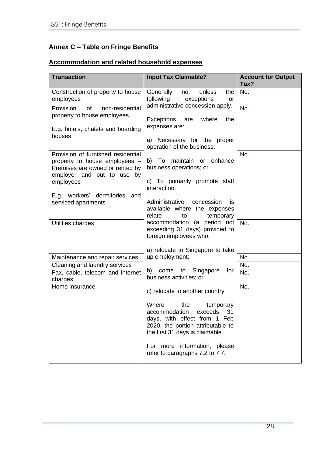# <span id="page-30-0"></span>**Annex C – Table on Fringe Benefits**

# **Accommodation and related household expenses**

| <b>Transaction</b>                                                                                                                   | <b>Input Tax Claimable?</b>                                                                                                                                         | <b>Account for Output</b><br>Tax? |
|--------------------------------------------------------------------------------------------------------------------------------------|---------------------------------------------------------------------------------------------------------------------------------------------------------------------|-----------------------------------|
| Construction of property to house<br>employees                                                                                       | Generally<br>unless<br>the<br>no,<br>following<br>exceptions<br>or                                                                                                  | No.                               |
| of<br>Provision<br>non-residential<br>property to house employees.                                                                   | administrative concession apply.<br><b>Exceptions</b><br>where<br>the<br>are                                                                                        | No.                               |
| E.g. hotels, chalets and boarding<br>houses                                                                                          | expenses are:<br>a) Necessary for the proper                                                                                                                        |                                   |
|                                                                                                                                      | operation of the business;                                                                                                                                          |                                   |
| Provision of furnished residential<br>property to house employees -<br>Premises are owned or rented by<br>employer and put to use by | b) To maintain or enhance<br>business operations; or                                                                                                                | No.                               |
| employees                                                                                                                            | c) To primarily promote staff<br>interaction.                                                                                                                       |                                   |
| E.g. workers' dormitories and<br>serviced apartments                                                                                 | Administrative<br>concession<br><b>is</b><br>available where the expenses<br>relate<br>temporary<br>to                                                              |                                   |
| Utilities charges                                                                                                                    | accommodation (a period not<br>exceeding 31 days) provided to<br>foreign employees who:                                                                             | No.                               |
|                                                                                                                                      | a) relocate to Singapore to take                                                                                                                                    |                                   |
| Maintenance and repair services                                                                                                      | up employment;                                                                                                                                                      | No.                               |
| Cleaning and laundry services                                                                                                        | b)                                                                                                                                                                  | No.                               |
| Fax, cable, telecom and internet<br>charges                                                                                          | come to Singapore<br>for<br>business activities; or                                                                                                                 | No.                               |
| Home insurance                                                                                                                       | c) relocate to another country                                                                                                                                      | No.                               |
|                                                                                                                                      | Where<br>the<br>temporary<br>exceeds<br>31<br>accommodation<br>days, with effect from 1 Feb<br>2020, the portion attributable to<br>the first 31 days is claimable. |                                   |
|                                                                                                                                      | For more information, please<br>refer to paragraphs 7.2 to 7.7.                                                                                                     |                                   |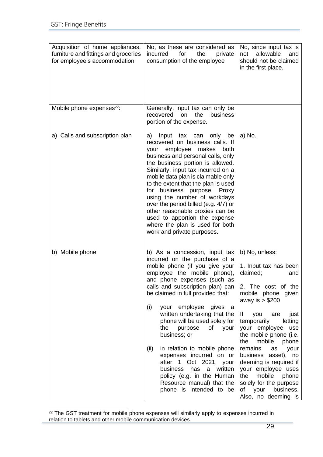| Acquisition of home appliances,<br>furniture and fittings and groceries<br>for employee's accommodation | No, as these are considered as<br>for<br>the<br>incurred<br>private<br>consumption of the employee                                                                                                                                                                                                                                                                                                                                                                                                                                                                                                  | No, since input tax is<br>allowable<br>and<br>not<br>should not be claimed<br>in the first place.                                                                                                                                                                                                                                                                                                                                                                  |
|---------------------------------------------------------------------------------------------------------|-----------------------------------------------------------------------------------------------------------------------------------------------------------------------------------------------------------------------------------------------------------------------------------------------------------------------------------------------------------------------------------------------------------------------------------------------------------------------------------------------------------------------------------------------------------------------------------------------------|--------------------------------------------------------------------------------------------------------------------------------------------------------------------------------------------------------------------------------------------------------------------------------------------------------------------------------------------------------------------------------------------------------------------------------------------------------------------|
| Mobile phone expenses <sup>22</sup> :                                                                   | Generally, input tax can only be<br>recovered<br>business<br>on<br>the<br>portion of the expense.                                                                                                                                                                                                                                                                                                                                                                                                                                                                                                   |                                                                                                                                                                                                                                                                                                                                                                                                                                                                    |
| a) Calls and subscription plan                                                                          | Input tax can only<br>a)<br>be<br>recovered on business calls. If<br>employee<br>makes<br>both<br>your<br>business and personal calls, only<br>the business portion is allowed.<br>Similarly, input tax incurred on a<br>mobile data plan is claimable only<br>to the extent that the plan is used<br>for business purpose. Proxy<br>using the number of workdays<br>over the period billed (e.g. 4/7) or<br>other reasonable proxies can be<br>used to apportion the expense<br>where the plan is used for both<br>work and private purposes.                                                      | a) No.                                                                                                                                                                                                                                                                                                                                                                                                                                                             |
| b) Mobile phone                                                                                         | b) As a concession, input tax<br>incurred on the purchase of a<br>mobile phone (if you give your<br>employee the mobile phone),<br>and phone expenses (such as<br>calls and subscription plan) can<br>be claimed in full provided that:<br>your employee gives a<br>(i)<br>written undertaking that the<br>phone will be used solely for<br>your<br>the<br>purpose<br>of<br>business; or<br>in relation to mobile phone<br>(ii)<br>expenses incurred on or<br>after 1 Oct 2021, your<br>business has a written<br>policy (e.g. in the Human<br>Resource manual) that the<br>phone is intended to be | b) No, unless:<br>1. Input tax has been<br>claimed;<br>and<br>2. The cost of the<br>mobile phone given<br>away is $> $200$<br>lf<br>you<br>just<br>are<br>temporarily<br>letting<br>your employee<br>use<br>the mobile phone (i.e.<br>the<br>mobile<br>phone<br>remains<br>as<br>your<br>business asset), no<br>deeming is required if<br>your employee uses<br>mobile<br>the<br>phone<br>solely for the purpose<br>of<br>your<br>business.<br>Also, no deeming is |

 $22$  The GST treatment for mobile phone expenses will similarly apply to expenses incurred in relation to tablets and other mobile communication devices.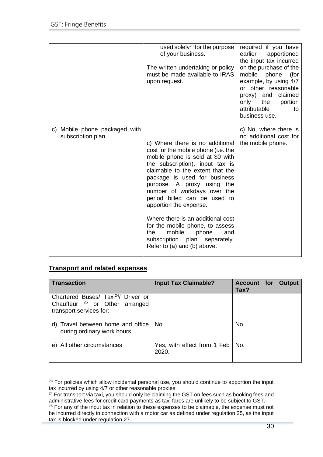|                                                    | used solely <sup>23</sup> for the purpose<br>of your business.                                                                                                                                                                                                                                                                                                                                                                                                                     | required if you have<br>earlier<br>apportioned<br>the input tax incurred                                                                                                                 |
|----------------------------------------------------|------------------------------------------------------------------------------------------------------------------------------------------------------------------------------------------------------------------------------------------------------------------------------------------------------------------------------------------------------------------------------------------------------------------------------------------------------------------------------------|------------------------------------------------------------------------------------------------------------------------------------------------------------------------------------------|
|                                                    | The written undertaking or policy<br>must be made available to IRAS<br>upon request.                                                                                                                                                                                                                                                                                                                                                                                               | on the purchase of the<br>mobile phone<br>(for<br>example, by using 4/7<br>or other reasonable<br>proxy) and<br>claimed<br>only<br>the<br>portion<br>attributable<br>to<br>business use. |
| c) Mobile phone packaged with<br>subscription plan | c) Where there is no additional<br>cost for the mobile phone (i.e. the<br>mobile phone is sold at \$0 with<br>the subscription), input tax is<br>claimable to the extent that the<br>package is used for business<br>purpose. A proxy using the<br>number of workdays over the<br>period billed can be used to<br>apportion the expense.<br>Where there is an additional cost<br>for the mobile phone, to assess<br>mobile<br>the<br>phone<br>and<br>subscription plan separately. | c) No, where there is<br>no additional cost for<br>the mobile phone.                                                                                                                     |
|                                                    | Refer to (a) and (b) above.                                                                                                                                                                                                                                                                                                                                                                                                                                                        |                                                                                                                                                                                          |

# **Transport and related expenses**

| Transaction                                                                                                             | <b>Input Tax Claimable?</b>                | <b>Account for Output</b><br>Tax? |
|-------------------------------------------------------------------------------------------------------------------------|--------------------------------------------|-----------------------------------|
| Chartered Buses/ Taxi <sup>24</sup> / Driver or<br>Chauffeur <sup>25</sup> or Other arranged<br>transport services for: |                                            |                                   |
| d) Travel between home and office<br>during ordinary work hours                                                         | No.                                        | No.                               |
| e) All other circumstances                                                                                              | Yes, with effect from 1 Feb   No.<br>2020. |                                   |

<sup>&</sup>lt;sup>23</sup> For policies which allow incidental personal use, you should continue to apportion the input tax incurred by using 4/7 or other reasonable proxies.

<sup>&</sup>lt;sup>24</sup> For transport via taxi, you should only be claiming the GST on fees such as booking fees and administrative fees for credit card payments as taxi fares are unlikely to be subject to GST.

<sup>&</sup>lt;sup>25</sup> For any of the input tax in relation to these expenses to be claimable, the expense must not be incurred directly in connection with a motor car as defined under regulation 25, as the input tax is blocked under regulation 27.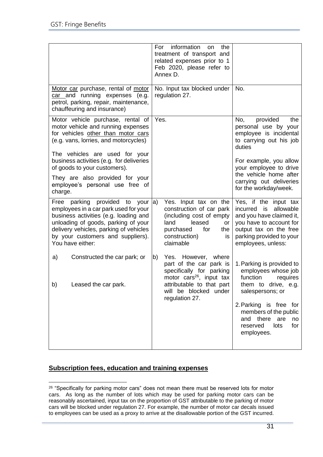|                                                                                                                                                                                                                                                                       | information<br>the<br>For<br><b>on</b><br>treatment of transport and<br>related expenses prior to 1<br>Feb 2020, please refer to<br>Annex D.                                   |                                                                                                                                                                                   |
|-----------------------------------------------------------------------------------------------------------------------------------------------------------------------------------------------------------------------------------------------------------------------|--------------------------------------------------------------------------------------------------------------------------------------------------------------------------------|-----------------------------------------------------------------------------------------------------------------------------------------------------------------------------------|
| Motor car purchase, rental of motor<br>car and running expenses (e.g.<br>petrol, parking, repair, maintenance,<br>chauffeuring and insurance)                                                                                                                         | No. Input tax blocked under<br>regulation 27.                                                                                                                                  | No.                                                                                                                                                                               |
| Motor vehicle purchase, rental of<br>motor vehicle and running expenses<br>for vehicles other than motor cars<br>(e.g. vans, lorries, and motorcycles)<br>The vehicles are used for your                                                                              | Yes.                                                                                                                                                                           | provided<br>No,<br>the<br>personal use by your<br>employee is incidental<br>to carrying out his job<br>duties                                                                     |
| business activities (e.g. for deliveries<br>of goods to your customers).                                                                                                                                                                                              |                                                                                                                                                                                | For example, you allow<br>your employee to drive                                                                                                                                  |
| They are also provided for your<br>employee's personal use free of<br>charge.                                                                                                                                                                                         |                                                                                                                                                                                | the vehicle home after<br>carrying out deliveries<br>for the workday/week.                                                                                                        |
| Free parking provided to your $ a\rangle$<br>employees in a car park used for your<br>business activities (e.g. loading and<br>unloading of goods, parking of your<br>delivery vehicles, parking of vehicles<br>by your customers and suppliers).<br>You have either: | Yes. Input tax on the<br>construction of car park<br>(including cost of empty<br>land<br>leased<br>or<br>for<br>purchased<br>the<br>construction)<br>is<br>claimable           | Yes, if the input tax<br>incurred is allowable<br>and you have claimed it,<br>you have to account for<br>output tax on the free<br>parking provided to your<br>employees, unless: |
| Constructed the car park; or<br>a)<br>b)<br>Leased the car park.                                                                                                                                                                                                      | b)<br>Yes. However, where<br>part of the car park is<br>specifically for parking<br>motor cars <sup>26</sup> , input tax<br>attributable to that part<br>will be blocked under | 1. Parking is provided to<br>employees whose job<br>function<br>requires<br>them to drive, e.g.<br>salespersons; or                                                               |
|                                                                                                                                                                                                                                                                       | regulation 27.                                                                                                                                                                 | 2. Parking is free for<br>members of the public<br>and there<br>are<br>no<br>reserved<br>lots<br>for<br>employees.                                                                |

# **Subscription fees, education and training expenses**

<sup>&</sup>lt;sup>26</sup> "Specifically for parking motor cars" does not mean there must be reserved lots for motor cars. As long as the number of lots which may be used for parking motor cars can be reasonably ascertained, input tax on the proportion of GST attributable to the parking of motor cars will be blocked under regulation 27. For example, the number of motor car decals issued to employees can be used as a proxy to arrive at the disallowable portion of the GST incurred.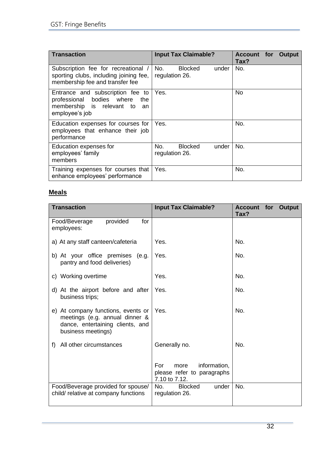| <b>Transaction</b>                                                                                                        | <b>Input Tax Claimable?</b>                      | <b>Account</b><br><b>Output</b><br>for<br>Tax? |
|---------------------------------------------------------------------------------------------------------------------------|--------------------------------------------------|------------------------------------------------|
| Subscription fee for recreational<br>sporting clubs, including joining fee,<br>membership fee and transfer fee            | No.<br><b>Blocked</b><br>under<br>regulation 26. | No.                                            |
| Entrance and subscription fee to<br>professional bodies where<br>the<br>membership is relevant to<br>an<br>employee's job | Yes.                                             | No                                             |
| Education expenses for courses for<br>employees that enhance their job<br>performance                                     | Yes.                                             | No.                                            |
| Education expenses for<br>employees' family<br>members                                                                    | No.<br><b>Blocked</b><br>under<br>regulation 26. | No.                                            |
| Training expenses for courses that<br>enhance employees' performance                                                      | Yes.                                             | No.                                            |

# **Meals**

| <b>Transaction</b>                                                                                                             | <b>Input Tax Claimable?</b>                                                | <b>Account for Output</b><br>Tax? |
|--------------------------------------------------------------------------------------------------------------------------------|----------------------------------------------------------------------------|-----------------------------------|
| provided<br>Food/Beverage<br>for<br>employees:                                                                                 |                                                                            |                                   |
| a) At any staff canteen/cafeteria                                                                                              | Yes.                                                                       | No.                               |
| b) At your office premises (e.g.<br>pantry and food deliveries)                                                                | Yes.                                                                       | No.                               |
| c) Working overtime                                                                                                            | Yes.                                                                       | No.                               |
| d) At the airport before and after<br>business trips;                                                                          | Yes.                                                                       | No.                               |
| e) At company functions, events or<br>meetings (e.g. annual dinner &<br>dance, entertaining clients, and<br>business meetings) | Yes.                                                                       | No.                               |
| All other circumstances<br>f)                                                                                                  | Generally no.                                                              | No.                               |
|                                                                                                                                | For<br>information,<br>more<br>please refer to paragraphs<br>7.10 to 7.12. |                                   |
| Food/Beverage provided for spouse/<br>child/ relative at company functions                                                     | <b>Blocked</b><br>under<br>No.<br>regulation 26.                           | No.                               |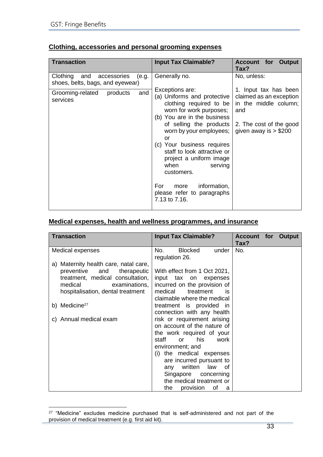| <b>Transaction</b>                                                    | <b>Input Tax Claimable?</b>                                                                                                                                                                                                                                                                                              | <b>Account for</b><br>Output<br>Tax?                                                                                                  |
|-----------------------------------------------------------------------|--------------------------------------------------------------------------------------------------------------------------------------------------------------------------------------------------------------------------------------------------------------------------------------------------------------------------|---------------------------------------------------------------------------------------------------------------------------------------|
| Clothing and accessories<br>(e.g.<br>shoes, belts, bags, and eyewear) | Generally no.                                                                                                                                                                                                                                                                                                            | No, unless:                                                                                                                           |
| and<br>Grooming-related<br>products<br>services                       | Exceptions are:<br>(a) Uniforms and protective<br>clothing required to be<br>worn for work purposes;<br>(b) You are in the business<br>of selling the products<br>worn by your employees;<br>or<br>(c) Your business requires<br>staff to look attractive or<br>project a uniform image<br>when<br>serving<br>customers. | 1. Input tax has been<br>claimed as an exception<br>in the middle column;<br>and<br>2. The cost of the good<br>given away is $> $200$ |
|                                                                       | information,<br>For<br>more<br>please refer to paragraphs<br>7.13 to 7.16.                                                                                                                                                                                                                                               |                                                                                                                                       |

# **Medical expenses, health and wellness programmes, and insurance**

| <b>Transaction</b>                                                                                                                                                             | <b>Input Tax Claimable?</b>                                                                                                                                                                                                                                                                                            | <b>Account for Output</b><br>Tax? |  |
|--------------------------------------------------------------------------------------------------------------------------------------------------------------------------------|------------------------------------------------------------------------------------------------------------------------------------------------------------------------------------------------------------------------------------------------------------------------------------------------------------------------|-----------------------------------|--|
| Medical expenses                                                                                                                                                               | <b>Blocked</b><br>No.<br>under<br>regulation 26.                                                                                                                                                                                                                                                                       | No.                               |  |
| a) Maternity health care, natal care,<br>and<br>preventive<br>therapeutic<br>treatment, medical consultation,<br>medical<br>examinations,<br>hospitalisation, dental treatment | With effect from 1 Oct 2021,<br>input tax on expenses<br>incurred on the provision of<br>medical<br>treatment<br>is<br>claimable where the medical                                                                                                                                                                     |                                   |  |
| b) Medicine <sup>27</sup>                                                                                                                                                      | treatment is provided in<br>connection with any health                                                                                                                                                                                                                                                                 |                                   |  |
| c) Annual medical exam                                                                                                                                                         | risk or requirement arising<br>on account of the nature of<br>the work required of your<br>his<br>work<br>staff<br>or<br>environment; and<br>the medical expenses<br>(i)<br>are incurred pursuant to<br>written<br>law<br>of<br>any<br>Singapore concerning<br>the medical treatment or<br>the<br>provision<br>οf<br>a |                                   |  |

<sup>&</sup>lt;sup>27</sup> "Medicine" excludes medicine purchased that is self-administered and not part of the provision of medical treatment (e.g. first aid kit).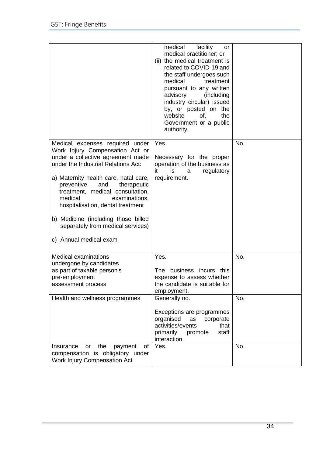|                                                                                                                                                                                                                                                                                                                                                                                                                                        | medical<br>facility<br>or<br>medical practitioner; or<br>(ii) the medical treatment is<br>related to COVID-19 and<br>the staff undergoes such<br>medical<br>treatment<br>pursuant to any written<br>advisory<br>(including<br>industry circular) issued<br>by, or posted on the<br>website<br>the<br>of,<br>Government or a public<br>authority. |            |
|----------------------------------------------------------------------------------------------------------------------------------------------------------------------------------------------------------------------------------------------------------------------------------------------------------------------------------------------------------------------------------------------------------------------------------------|--------------------------------------------------------------------------------------------------------------------------------------------------------------------------------------------------------------------------------------------------------------------------------------------------------------------------------------------------|------------|
| Medical expenses required under<br>Work Injury Compensation Act or<br>under a collective agreement made<br>under the Industrial Relations Act:<br>a) Maternity health care, natal care,<br>preventive<br>therapeutic<br>and<br>treatment, medical consultation,<br>medical<br>examinations,<br>hospitalisation, dental treatment<br>b) Medicine (including those billed<br>separately from medical services)<br>c) Annual medical exam | Yes.<br>Necessary for the proper<br>operation of the business as<br>it<br>is<br>regulatory<br>a<br>requirement.                                                                                                                                                                                                                                  | No.        |
| <b>Medical examinations</b><br>undergone by candidates<br>as part of taxable person's<br>pre-employment<br>assessment process                                                                                                                                                                                                                                                                                                          | Yes.<br>The business incurs this<br>expense to assess whether<br>the candidate is suitable for<br>employment.                                                                                                                                                                                                                                    | No.        |
| Health and wellness programmes<br>the<br>payment<br>of<br>Insurance<br>or                                                                                                                                                                                                                                                                                                                                                              | Generally no.<br>Exceptions are programmes<br>organised<br>corporate<br>as<br>activities/events<br>that<br>primarily<br>staff<br>promote<br>interaction.<br>Yes.                                                                                                                                                                                 | No.<br>No. |
| compensation is obligatory under<br><b>Work Injury Compensation Act</b>                                                                                                                                                                                                                                                                                                                                                                |                                                                                                                                                                                                                                                                                                                                                  |            |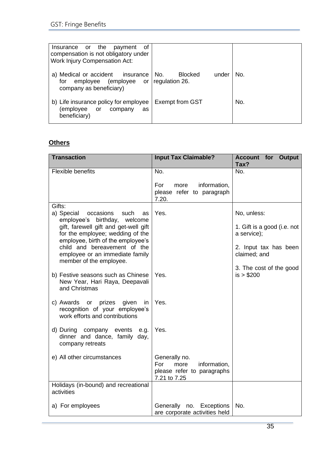| of<br>or the payment<br>Insurance<br>compensation is not obligatory under<br><b>Work Injury Compensation Act:</b> |                                |     |
|-------------------------------------------------------------------------------------------------------------------|--------------------------------|-----|
| a) Medical or accident insurance<br>employee (employee or regulation 26.<br>for<br>company as beneficiary)        | <b>Blocked</b><br>No.<br>under | No. |
| b) Life insurance policy for employee<br>(employee<br>or<br>company<br>as<br>beneficiary)                         | <b>Exempt from GST</b>         | No. |

# **Others**

| <b>Transaction</b>                                                                                                                                                                                                                                                                                 | <b>Input Tax Claimable?</b>                                                                | <b>Account for Output</b><br>Tax?                                                                  |
|----------------------------------------------------------------------------------------------------------------------------------------------------------------------------------------------------------------------------------------------------------------------------------------------------|--------------------------------------------------------------------------------------------|----------------------------------------------------------------------------------------------------|
| Flexible benefits                                                                                                                                                                                                                                                                                  | No.                                                                                        | No.                                                                                                |
|                                                                                                                                                                                                                                                                                                    | For<br>information,<br>more<br>please refer to paragraph<br>7.20.                          |                                                                                                    |
| Gifts:<br>a) Special<br>occasions<br>such<br>as<br>employee's birthday,<br>welcome<br>gift, farewell gift and get-well gift<br>for the employee; wedding of the<br>employee, birth of the employee's<br>child and bereavement of the<br>employee or an immediate family<br>member of the employee. | Yes.                                                                                       | No, unless:<br>1. Gift is a good (i.e. not<br>a service);<br>2. Input tax has been<br>claimed; and |
| b) Festive seasons such as Chinese<br>New Year, Hari Raya, Deepavali<br>and Christmas                                                                                                                                                                                                              | Yes.                                                                                       | 3. The cost of the good<br>is > \$200                                                              |
| c) Awards or prizes<br>given<br>in<br>recognition of your employee's<br>work efforts and contributions                                                                                                                                                                                             | Yes.                                                                                       |                                                                                                    |
| d) During company events<br>e.g.<br>dinner and dance, family day,<br>company retreats                                                                                                                                                                                                              | Yes.                                                                                       |                                                                                                    |
| e) All other circumstances                                                                                                                                                                                                                                                                         | Generally no.<br>information,<br>For<br>more<br>please refer to paragraphs<br>7.21 to 7.25 |                                                                                                    |
| Holidays (in-bound) and recreational<br>activities                                                                                                                                                                                                                                                 |                                                                                            |                                                                                                    |
| a) For employees                                                                                                                                                                                                                                                                                   | Generally<br>no. Exceptions<br>are corporate activities held                               | No.                                                                                                |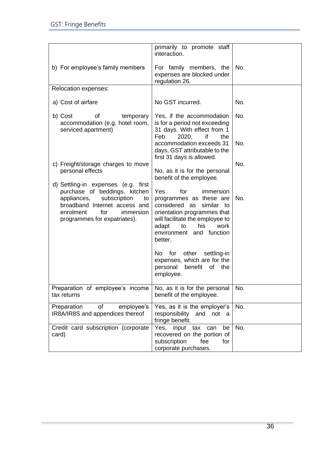|                                                                                                                                                                                                             | primarily to promote staff<br>interaction.                                                                                                                                                                                  |     |
|-------------------------------------------------------------------------------------------------------------------------------------------------------------------------------------------------------------|-----------------------------------------------------------------------------------------------------------------------------------------------------------------------------------------------------------------------------|-----|
| b) For employee's family members                                                                                                                                                                            | For family members, the<br>expenses are blocked under<br>regulation 26.                                                                                                                                                     | No. |
| Relocation expenses:                                                                                                                                                                                        |                                                                                                                                                                                                                             |     |
| a) Cost of airfare                                                                                                                                                                                          | No GST incurred.                                                                                                                                                                                                            | No. |
| of<br>b) Cost<br>temporary<br>accommodation (e.g. hotel room,<br>serviced apartment)                                                                                                                        | Yes, if the accommodation<br>is for a period not exceeding<br>31 days. With effect from 1<br>Feb<br>2020,<br>if<br>the                                                                                                      | No. |
|                                                                                                                                                                                                             | accommodation exceeds 31<br>days, GST attributable to the<br>first 31 days is allowed.                                                                                                                                      | No. |
| c) Freight/storage charges to move<br>personal effects                                                                                                                                                      | No, as it is for the personal<br>benefit of the employee.                                                                                                                                                                   | No. |
| d) Settling-in expenses (e.g. first<br>purchase of beddings, kitchen<br>appliances,<br>subscription<br>to<br>broadband Internet access and<br>enrolment<br>for<br>immersion<br>programmes for expatriates). | Yes<br>for<br>immersion<br>programmes as these are<br>considered<br>similar to<br>as<br>orientation programmes that<br>will facilitate the employee to<br>his<br>work<br>adapt<br>to<br>environment and function<br>better. | No. |
|                                                                                                                                                                                                             | for<br>other<br>settling-in<br>No.<br>expenses, which are for the<br>personal<br>benefit of<br>the<br>employee.                                                                                                             |     |
| Preparation of employee's income<br>tax returns                                                                                                                                                             | No, as it is for the personal<br>benefit of the employee.                                                                                                                                                                   | No. |
| Preparation<br>employee's<br>of<br>IR8A/IR8S and appendices thereof                                                                                                                                         | Yes, as it is the employer's<br>responsibility and not a<br>fringe benefit.                                                                                                                                                 | No. |
| Credit card subscription (corporate<br>card)                                                                                                                                                                | Yes, input<br>tax<br>can<br>be<br>recovered on the portion of<br>subscription<br>fee<br>for<br>corporate purchases.                                                                                                         | No. |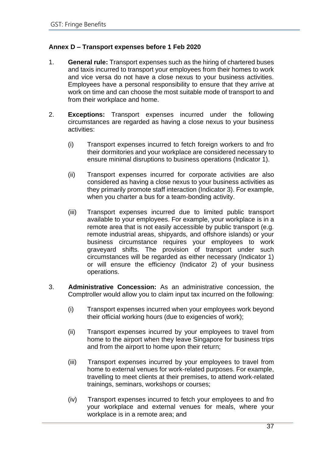# <span id="page-39-0"></span>**Annex D – Transport expenses before 1 Feb 2020**

- 1. **General rule:** Transport expenses such as the hiring of chartered buses and taxis incurred to transport your employees from their homes to work and vice versa do not have a close nexus to your business activities. Employees have a personal responsibility to ensure that they arrive at work on time and can choose the most suitable mode of transport to and from their workplace and home.
- 2. **Exceptions:** Transport expenses incurred under the following circumstances are regarded as having a close nexus to your business activities:
	- (i) Transport expenses incurred to fetch foreign workers to and fro their dormitories and your workplace are considered necessary to ensure minimal disruptions to business operations (Indicator 1).
	- (ii) Transport expenses incurred for corporate activities are also considered as having a close nexus to your business activities as they primarily promote staff interaction (Indicator 3). For example, when you charter a bus for a team-bonding activity.
	- (iii) Transport expenses incurred due to limited public transport available to your employees. For example, your workplace is in a remote area that is not easily accessible by public transport (e.g. remote industrial areas, shipyards, and offshore islands) or your business circumstance requires your employees to work graveyard shifts. The provision of transport under such circumstances will be regarded as either necessary (Indicator 1) or will ensure the efficiency (Indicator 2) of your business operations.
- 3. **Administrative Concession:** As an administrative concession, the Comptroller would allow you to claim input tax incurred on the following:
	- (i) Transport expenses incurred when your employees work beyond their official working hours (due to exigencies of work);
	- (ii) Transport expenses incurred by your employees to travel from home to the airport when they leave Singapore for business trips and from the airport to home upon their return;
	- (iii) Transport expenses incurred by your employees to travel from home to external venues for work-related purposes. For example, travelling to meet clients at their premises, to attend work-related trainings, seminars, workshops or courses;
	- (iv) Transport expenses incurred to fetch your employees to and fro your workplace and external venues for meals, where your workplace is in a remote area; and